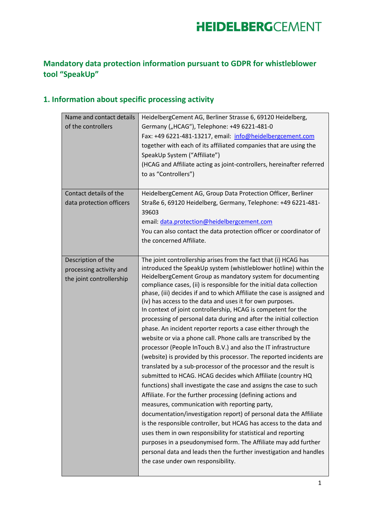#### **Mandatory data protection information pursuant to GDPR for whistleblower tool "SpeakUp"**

#### **1. Information about specific processing activity**

| Name and contact details | HeidelbergCement AG, Berliner Strasse 6, 69120 Heidelberg,              |
|--------------------------|-------------------------------------------------------------------------|
| of the controllers       | Germany ("HCAG"), Telephone: +49 6221-481-0                             |
|                          | Fax: +49 6221-481-13217, email: info@heidelbergcement.com               |
|                          | together with each of its affiliated companies that are using the       |
|                          | SpeakUp System ("Affiliate")                                            |
|                          | (HCAG and Affiliate acting as joint-controllers, hereinafter referred   |
|                          | to as "Controllers")                                                    |
|                          |                                                                         |
| Contact details of the   | HeidelbergCement AG, Group Data Protection Officer, Berliner            |
| data protection officers | Straße 6, 69120 Heidelberg, Germany, Telephone: +49 6221-481-           |
|                          | 39603                                                                   |
|                          | email: data.protection@heidelbergcement.com                             |
|                          | You can also contact the data protection officer or coordinator of      |
|                          | the concerned Affiliate.                                                |
|                          |                                                                         |
| Description of the       | The joint controllership arises from the fact that (i) HCAG has         |
| processing activity and  | introduced the SpeakUp system (whistleblower hotline) within the        |
| the joint controllership | HeidelbergCement Group as mandatory system for documenting              |
|                          | compliance cases, (ii) is responsible for the initial data collection   |
|                          | phase, (iii) decides if and to which Affiliate the case is assigned and |
|                          | (iv) has access to the data and uses it for own purposes.               |
|                          | In context of joint controllership, HCAG is competent for the           |
|                          | processing of personal data during and after the initial collection     |
|                          | phase. An incident reporter reports a case either through the           |
|                          | website or via a phone call. Phone calls are transcribed by the         |
|                          | processor (People InTouch B.V.) and also the IT infrastructure          |
|                          | (website) is provided by this processor. The reported incidents are     |
|                          | translated by a sub-processor of the processor and the result is        |
|                          | submitted to HCAG. HCAG decides which Affiliate (country HQ             |
|                          | functions) shall investigate the case and assigns the case to such      |
|                          | Affiliate. For the further processing (defining actions and             |
|                          | measures, communication with reporting party,                           |
|                          | documentation/investigation report) of personal data the Affiliate      |
|                          | is the responsible controller, but HCAG has access to the data and      |
|                          | uses them in own responsibility for statistical and reporting           |
|                          | purposes in a pseudonymised form. The Affiliate may add further         |
|                          | personal data and leads then the further investigation and handles      |
|                          | the case under own responsibility.                                      |
|                          |                                                                         |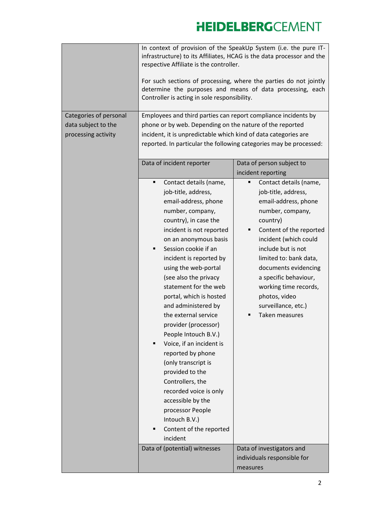| Categories of personal<br>data subject to the<br>processing activity | In context of provision of the SpeakUp System (i.e. the pure IT-<br>infrastructure) to its Affiliates, HCAG is the data processor and the<br>respective Affiliate is the controller.<br>For such sections of processing, where the parties do not jointly<br>determine the purposes and means of data processing, each<br>Controller is acting in sole responsibility.<br>Employees and third parties can report compliance incidents by<br>phone or by web. Depending on the nature of the reported<br>incident, it is unpredictable which kind of data categories are<br>reported. In particular the following categories may be processed: |                                             |  |
|----------------------------------------------------------------------|-----------------------------------------------------------------------------------------------------------------------------------------------------------------------------------------------------------------------------------------------------------------------------------------------------------------------------------------------------------------------------------------------------------------------------------------------------------------------------------------------------------------------------------------------------------------------------------------------------------------------------------------------|---------------------------------------------|--|
|                                                                      | Data of incident reporter                                                                                                                                                                                                                                                                                                                                                                                                                                                                                                                                                                                                                     | Data of person subject to                   |  |
|                                                                      |                                                                                                                                                                                                                                                                                                                                                                                                                                                                                                                                                                                                                                               | incident reporting                          |  |
|                                                                      | Contact details (name,<br>$\blacksquare$                                                                                                                                                                                                                                                                                                                                                                                                                                                                                                                                                                                                      | Contact details (name,<br>٠                 |  |
|                                                                      | job-title, address,                                                                                                                                                                                                                                                                                                                                                                                                                                                                                                                                                                                                                           | job-title, address,                         |  |
|                                                                      | email-address, phone                                                                                                                                                                                                                                                                                                                                                                                                                                                                                                                                                                                                                          | email-address, phone                        |  |
|                                                                      | number, company,                                                                                                                                                                                                                                                                                                                                                                                                                                                                                                                                                                                                                              | number, company,                            |  |
|                                                                      | country), in case the                                                                                                                                                                                                                                                                                                                                                                                                                                                                                                                                                                                                                         | country)                                    |  |
|                                                                      | incident is not reported                                                                                                                                                                                                                                                                                                                                                                                                                                                                                                                                                                                                                      | Content of the reported<br>п                |  |
|                                                                      | on an anonymous basis<br>Session cookie if an<br>п                                                                                                                                                                                                                                                                                                                                                                                                                                                                                                                                                                                            | incident (which could<br>include but is not |  |
|                                                                      | incident is reported by                                                                                                                                                                                                                                                                                                                                                                                                                                                                                                                                                                                                                       | limited to: bank data,                      |  |
|                                                                      | using the web-portal                                                                                                                                                                                                                                                                                                                                                                                                                                                                                                                                                                                                                          | documents evidencing                        |  |
|                                                                      | (see also the privacy                                                                                                                                                                                                                                                                                                                                                                                                                                                                                                                                                                                                                         | a specific behaviour,                       |  |
|                                                                      | statement for the web                                                                                                                                                                                                                                                                                                                                                                                                                                                                                                                                                                                                                         | working time records,                       |  |
|                                                                      | portal, which is hosted                                                                                                                                                                                                                                                                                                                                                                                                                                                                                                                                                                                                                       | photos, video                               |  |
|                                                                      | and administered by                                                                                                                                                                                                                                                                                                                                                                                                                                                                                                                                                                                                                           | surveillance, etc.)                         |  |
|                                                                      | the external service                                                                                                                                                                                                                                                                                                                                                                                                                                                                                                                                                                                                                          | Taken measures                              |  |
|                                                                      | provider (processor)                                                                                                                                                                                                                                                                                                                                                                                                                                                                                                                                                                                                                          |                                             |  |
|                                                                      | People Intouch B.V.)                                                                                                                                                                                                                                                                                                                                                                                                                                                                                                                                                                                                                          |                                             |  |
|                                                                      | Voice, if an incident is                                                                                                                                                                                                                                                                                                                                                                                                                                                                                                                                                                                                                      |                                             |  |
|                                                                      | reported by phone                                                                                                                                                                                                                                                                                                                                                                                                                                                                                                                                                                                                                             |                                             |  |
|                                                                      | (only transcript is                                                                                                                                                                                                                                                                                                                                                                                                                                                                                                                                                                                                                           |                                             |  |
|                                                                      | provided to the<br>Controllers, the                                                                                                                                                                                                                                                                                                                                                                                                                                                                                                                                                                                                           |                                             |  |
|                                                                      | recorded voice is only                                                                                                                                                                                                                                                                                                                                                                                                                                                                                                                                                                                                                        |                                             |  |
|                                                                      | accessible by the                                                                                                                                                                                                                                                                                                                                                                                                                                                                                                                                                                                                                             |                                             |  |
|                                                                      | processor People                                                                                                                                                                                                                                                                                                                                                                                                                                                                                                                                                                                                                              |                                             |  |
|                                                                      | Intouch B.V.)                                                                                                                                                                                                                                                                                                                                                                                                                                                                                                                                                                                                                                 |                                             |  |
|                                                                      | Content of the reported                                                                                                                                                                                                                                                                                                                                                                                                                                                                                                                                                                                                                       |                                             |  |
|                                                                      | incident                                                                                                                                                                                                                                                                                                                                                                                                                                                                                                                                                                                                                                      |                                             |  |
|                                                                      | Data of (potential) witnesses                                                                                                                                                                                                                                                                                                                                                                                                                                                                                                                                                                                                                 | Data of investigators and                   |  |
|                                                                      |                                                                                                                                                                                                                                                                                                                                                                                                                                                                                                                                                                                                                                               | individuals responsible for                 |  |
|                                                                      |                                                                                                                                                                                                                                                                                                                                                                                                                                                                                                                                                                                                                                               | measures                                    |  |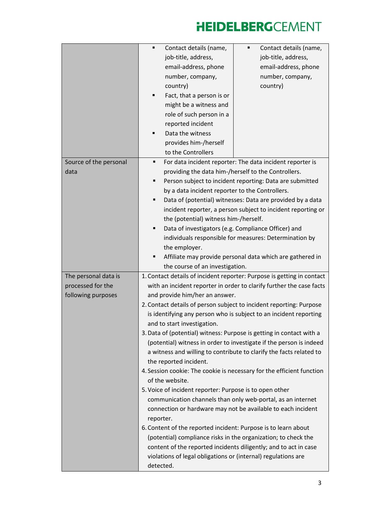|                                                                 | Contact details (name,<br>Contact details (name,<br>٠<br>job-title, address,<br>job-title, address,<br>email-address, phone<br>email-address, phone<br>number, company,<br>number, company,<br>country)<br>country)<br>Fact, that a person is or<br>might be a witness and<br>role of such person in a<br>reported incident<br>Data the witness<br>provides him-/herself<br>to the Controllers                                                                                                                                                                                                                                                                                                                                                                                                                                                                                                                                                                                                                                                                                                                                                                                                       |
|-----------------------------------------------------------------|------------------------------------------------------------------------------------------------------------------------------------------------------------------------------------------------------------------------------------------------------------------------------------------------------------------------------------------------------------------------------------------------------------------------------------------------------------------------------------------------------------------------------------------------------------------------------------------------------------------------------------------------------------------------------------------------------------------------------------------------------------------------------------------------------------------------------------------------------------------------------------------------------------------------------------------------------------------------------------------------------------------------------------------------------------------------------------------------------------------------------------------------------------------------------------------------------|
| Source of the personal<br>data                                  | For data incident reporter: The data incident reporter is<br>٠<br>providing the data him-/herself to the Controllers.<br>Person subject to incident reporting: Data are submitted<br>٠<br>by a data incident reporter to the Controllers.<br>Data of (potential) witnesses: Data are provided by a data<br>٠<br>incident reporter, a person subject to incident reporting or<br>the (potential) witness him-/herself.<br>Data of investigators (e.g. Compliance Officer) and<br>п<br>individuals responsible for measures: Determination by<br>the employer.<br>Affiliate may provide personal data which are gathered in<br>the course of an investigation.                                                                                                                                                                                                                                                                                                                                                                                                                                                                                                                                         |
| The personal data is<br>processed for the<br>following purposes | 1. Contact details of incident reporter: Purpose is getting in contact<br>with an incident reporter in order to clarify further the case facts<br>and provide him/her an answer.<br>2. Contact details of person subject to incident reporting: Purpose<br>is identifying any person who is subject to an incident reporting<br>and to start investigation.<br>3. Data of (potential) witness: Purpose is getting in contact with a<br>(potential) witness in order to investigate if the person is indeed<br>a witness and willing to contribute to clarify the facts related to<br>the reported incident.<br>4. Session cookie: The cookie is necessary for the efficient function<br>of the website.<br>5. Voice of incident reporter: Purpose is to open other<br>communication channels than only web-portal, as an internet<br>connection or hardware may not be available to each incident<br>reporter.<br>6. Content of the reported incident: Purpose is to learn about<br>(potential) compliance risks in the organization; to check the<br>content of the reported incidents diligently; and to act in case<br>violations of legal obligations or (internal) regulations are<br>detected. |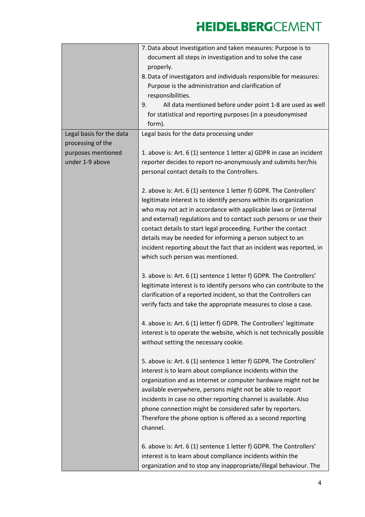|                          | 7. Data about investigation and taken measures: Purpose is to         |
|--------------------------|-----------------------------------------------------------------------|
|                          | document all steps in investigation and to solve the case             |
|                          | properly.                                                             |
|                          | 8. Data of investigators and individuals responsible for measures:    |
|                          | Purpose is the administration and clarification of                    |
|                          | responsibilities.                                                     |
|                          | All data mentioned before under point 1-8 are used as well<br>9.      |
|                          | for statistical and reporting purposes (in a pseudonymised            |
|                          | form).                                                                |
| Legal basis for the data | Legal basis for the data processing under                             |
| processing of the        |                                                                       |
| purposes mentioned       | 1. above is: Art. 6 (1) sentence 1 letter a) GDPR in case an incident |
| under 1-9 above          | reporter decides to report no-anonymously and submits her/his         |
|                          | personal contact details to the Controllers.                          |
|                          |                                                                       |
|                          | 2. above is: Art. 6 (1) sentence 1 letter f) GDPR. The Controllers'   |
|                          | legitimate interest is to identify persons within its organization    |
|                          | who may not act in accordance with applicable laws or (internal       |
|                          |                                                                       |
|                          | and external) regulations and to contact such persons or use their    |
|                          | contact details to start legal proceeding. Further the contact        |
|                          | details may be needed for informing a person subject to an            |
|                          | incident reporting about the fact that an incident was reported, in   |
|                          | which such person was mentioned.                                      |
|                          | 3. above is: Art. 6 (1) sentence 1 letter f) GDPR. The Controllers'   |
|                          | legitimate interest is to identify persons who can contribute to the  |
|                          | clarification of a reported incident, so that the Controllers can     |
|                          | verify facts and take the appropriate measures to close a case.       |
|                          |                                                                       |
|                          | 4. above is: Art. 6 (1) letter f) GDPR. The Controllers' legitimate   |
|                          | interest is to operate the website, which is not technically possible |
|                          | without setting the necessary cookie.                                 |
|                          |                                                                       |
|                          | 5. above is: Art. 6 (1) sentence 1 letter f) GDPR. The Controllers'   |
|                          | interest is to learn about compliance incidents within the            |
|                          | organization and as Internet or computer hardware might not be        |
|                          | available everywhere, persons might not be able to report             |
|                          |                                                                       |
|                          | incidents in case no other reporting channel is available. Also       |
|                          | phone connection might be considered safer by reporters.              |
|                          | Therefore the phone option is offered as a second reporting           |
|                          | channel.                                                              |
|                          | 6. above is: Art. 6 (1) sentence 1 letter f) GDPR. The Controllers'   |
|                          |                                                                       |
|                          | interest is to learn about compliance incidents within the            |
|                          | organization and to stop any inappropriate/illegal behaviour. The     |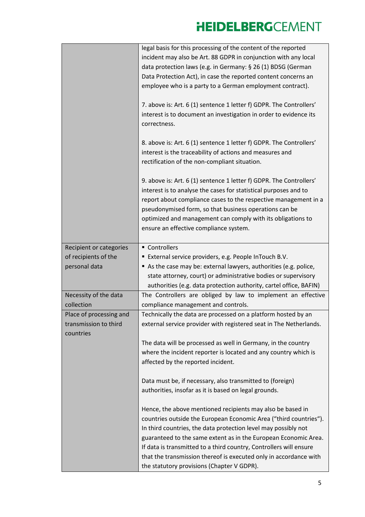|                                                               | legal basis for this processing of the content of the reported<br>incident may also be Art. 88 GDPR in conjunction with any local<br>data protection laws (e.g. in Germany: § 26 (1) BDSG (German<br>Data Protection Act), in case the reported content concerns an<br>employee who is a party to a German employment contract).<br>7. above is: Art. 6 (1) sentence 1 letter f) GDPR. The Controllers'<br>interest is to document an investigation in order to evidence its<br>correctness.<br>8. above is: Art. 6 (1) sentence 1 letter f) GDPR. The Controllers' |
|---------------------------------------------------------------|---------------------------------------------------------------------------------------------------------------------------------------------------------------------------------------------------------------------------------------------------------------------------------------------------------------------------------------------------------------------------------------------------------------------------------------------------------------------------------------------------------------------------------------------------------------------|
|                                                               | interest is the traceability of actions and measures and<br>rectification of the non-compliant situation.                                                                                                                                                                                                                                                                                                                                                                                                                                                           |
|                                                               | 9. above is: Art. 6 (1) sentence 1 letter f) GDPR. The Controllers'<br>interest is to analyse the cases for statistical purposes and to<br>report about compliance cases to the respective management in a<br>pseudonymised form, so that business operations can be<br>optimized and management can comply with its obligations to<br>ensure an effective compliance system.                                                                                                                                                                                       |
| Recipient or categories                                       | ■ Controllers                                                                                                                                                                                                                                                                                                                                                                                                                                                                                                                                                       |
| of recipients of the<br>personal data                         | External service providers, e.g. People InTouch B.V.<br>As the case may be: external lawyers, authorities (e.g. police,                                                                                                                                                                                                                                                                                                                                                                                                                                             |
|                                                               | state attorney, court) or administrative bodies or supervisory                                                                                                                                                                                                                                                                                                                                                                                                                                                                                                      |
|                                                               | authorities (e.g. data protection authority, cartel office, BAFIN)                                                                                                                                                                                                                                                                                                                                                                                                                                                                                                  |
| Necessity of the data                                         | The Controllers are obliged by law to implement an effective                                                                                                                                                                                                                                                                                                                                                                                                                                                                                                        |
| collection                                                    | compliance management and controls.                                                                                                                                                                                                                                                                                                                                                                                                                                                                                                                                 |
| Place of processing and<br>transmission to third<br>countries | Technically the data are processed on a platform hosted by an<br>external service provider with registered seat in The Netherlands.                                                                                                                                                                                                                                                                                                                                                                                                                                 |
|                                                               | The data will be processed as well in Germany, in the country                                                                                                                                                                                                                                                                                                                                                                                                                                                                                                       |
|                                                               | where the incident reporter is located and any country which is<br>affected by the reported incident.                                                                                                                                                                                                                                                                                                                                                                                                                                                               |
|                                                               | Data must be, if necessary, also transmitted to (foreign)                                                                                                                                                                                                                                                                                                                                                                                                                                                                                                           |
|                                                               | authorities, insofar as it is based on legal grounds.                                                                                                                                                                                                                                                                                                                                                                                                                                                                                                               |
|                                                               | Hence, the above mentioned recipients may also be based in<br>countries outside the European Economic Area ("third countries").<br>In third countries, the data protection level may possibly not<br>guaranteed to the same extent as in the European Economic Area.<br>If data is transmitted to a third country, Controllers will ensure<br>that the transmission thereof is executed only in accordance with<br>the statutory provisions (Chapter V GDPR).                                                                                                       |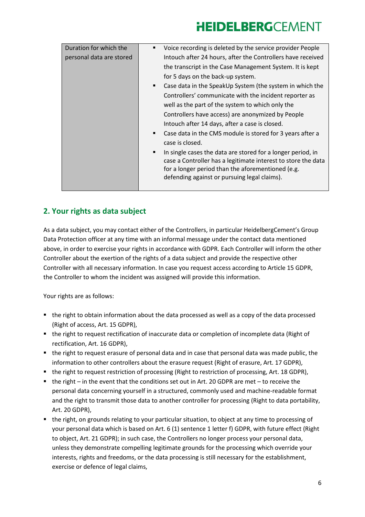| Duration for which the   | Voice recording is deleted by the service provider People                                                                                                                                                                              |
|--------------------------|----------------------------------------------------------------------------------------------------------------------------------------------------------------------------------------------------------------------------------------|
| personal data are stored | Intouch after 24 hours, after the Controllers have received                                                                                                                                                                            |
|                          | the transcript in the Case Management System. It is kept                                                                                                                                                                               |
|                          | for 5 days on the back-up system.                                                                                                                                                                                                      |
|                          | Case data in the SpeakUp System (the system in which the<br>٠                                                                                                                                                                          |
|                          | Controllers' communicate with the incident reporter as                                                                                                                                                                                 |
|                          | well as the part of the system to which only the                                                                                                                                                                                       |
|                          | Controllers have access) are anonymized by People                                                                                                                                                                                      |
|                          | Intouch after 14 days, after a case is closed.                                                                                                                                                                                         |
|                          | Case data in the CMS module is stored for 3 years after a<br>٠                                                                                                                                                                         |
|                          | case is closed.                                                                                                                                                                                                                        |
|                          | In single cases the data are stored for a longer period, in<br>٠<br>case a Controller has a legitimate interest to store the data<br>for a longer period than the aforementioned (e.g.<br>defending against or pursuing legal claims). |
|                          |                                                                                                                                                                                                                                        |

#### **2. Your rights as data subject**

As a data subject, you may contact either of the Controllers, in particular HeidelbergCement's Group Data Protection officer at any time with an informal message under the contact data mentioned above, in order to exercise your rights in accordance with GDPR. Each Controller will inform the other Controller about the exertion of the rights of a data subject and provide the respective other Controller with all necessary information. In case you request access according to Article 15 GDPR, the Controller to whom the incident was assigned will provide this information.

Your rights are as follows:

- the right to obtain information about the data processed as well as a copy of the data processed (Right of access, Art. 15 GDPR),
- the right to request rectification of inaccurate data or completion of incomplete data (Right of rectification, Art. 16 GDPR),
- the right to request erasure of personal data and in case that personal data was made public, the information to other controllers about the erasure request (Right of erasure, Art. 17 GDPR),
- the right to request restriction of processing (Right to restriction of processing, Art. 18 GDPR),
- $\blacksquare$  the right in the event that the conditions set out in Art. 20 GDPR are met to receive the personal data concerning yourself in a structured, commonly used and machine-readable format and the right to transmit those data to another controller for processing (Right to data portability, Art. 20 GDPR),
- the right, on grounds relating to your particular situation, to object at any time to processing of your personal data which is based on Art. 6 (1) sentence 1 letter f) GDPR, with future effect (Right to object, Art. 21 GDPR); in such case, the Controllers no longer process your personal data, unless they demonstrate compelling legitimate grounds for the processing which override your interests, rights and freedoms, or the data processing is still necessary for the establishment, exercise or defence of legal claims,